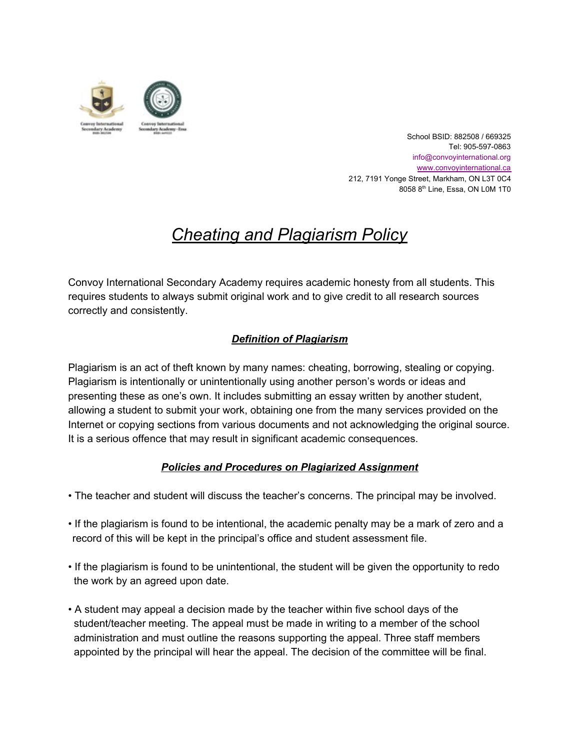

School BSID: 882508 / 669325 Tel: 905-597-0863 info@convoyinternational.org [www.convoyinternational.c](http://www.convoyinternational.org/)a 212, 7191 Yonge Street, Markham, ON L3T 0C4 8058 8<sup>th</sup> Line, Essa, ON L0M 1T0

# *Cheating and Plagiarism Policy*

Convoy International Secondary Academy requires academic honesty from all students. This requires students to always submit original work and to give credit to all research sources correctly and consistently.

# *Definition of Plagiarism*

Plagiarism is an act of theft known by many names: cheating, borrowing, stealing or copying. Plagiarism is intentionally or unintentionally using another person's words or ideas and presenting these as one's own. It includes submitting an essay written by another student, allowing a student to submit your work, obtaining one from the many services provided on the Internet or copying sections from various documents and not acknowledging the original source. It is a serious offence that may result in significant academic consequences.

# *Policies and Procedures on Plagiarized Assignment*

- The teacher and student will discuss the teacher's concerns. The principal may be involved.
- If the plagiarism is found to be intentional, the academic penalty may be a mark of zero and a record of this will be kept in the principal's office and student assessment file.
- If the plagiarism is found to be unintentional, the student will be given the opportunity to redo the work by an agreed upon date.
- A student may appeal a decision made by the teacher within five school days of the student/teacher meeting. The appeal must be made in writing to a member of the school administration and must outline the reasons supporting the appeal. Three staff members appointed by the principal will hear the appeal. The decision of the committee will be final.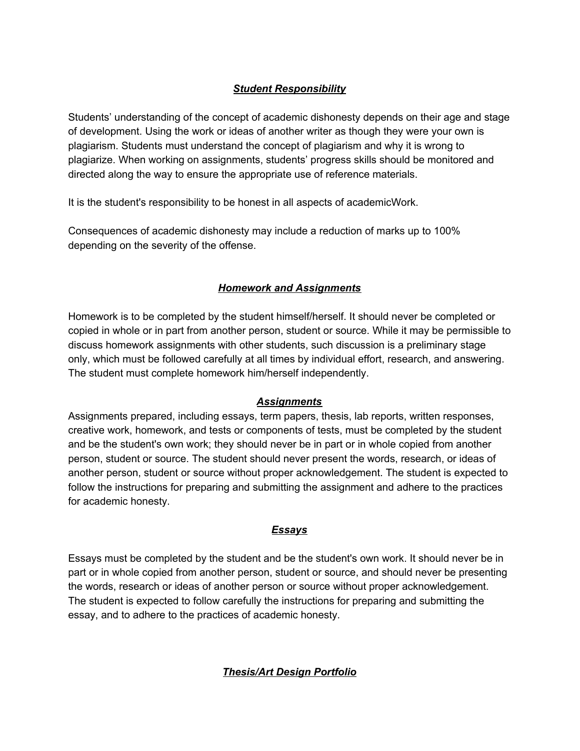## *Student Responsibility*

Students' understanding of the concept of academic dishonesty depends on their age and stage of development. Using the work or ideas of another writer as though they were your own is plagiarism. Students must understand the concept of plagiarism and why it is wrong to plagiarize. When working on assignments, students' progress skills should be monitored and directed along the way to ensure the appropriate use of reference materials.

It is the student's responsibility to be honest in all aspects of academicWork.

Consequences of academic dishonesty may include a reduction of marks up to 100% depending on the severity of the offense.

### *Homework and Assignments*

Homework is to be completed by the student himself/herself. It should never be completed or copied in whole or in part from another person, student or source. While it may be permissible to discuss homework assignments with other students, such discussion is a preliminary stage only, which must be followed carefully at all times by individual effort, research, and answering. The student must complete homework him/herself independently.

#### *Assignments*

Assignments prepared, including essays, term papers, thesis, lab reports, written responses, creative work, homework, and tests or components of tests, must be completed by the student and be the student's own work; they should never be in part or in whole copied from another person, student or source. The student should never present the words, research, or ideas of another person, student or source without proper acknowledgement. The student is expected to follow the instructions for preparing and submitting the assignment and adhere to the practices for academic honesty.

#### *Essays*

Essays must be completed by the student and be the student's own work. It should never be in part or in whole copied from another person, student or source, and should never be presenting the words, research or ideas of another person or source without proper acknowledgement. The student is expected to follow carefully the instructions for preparing and submitting the essay, and to adhere to the practices of academic honesty.

*Thesis/Art Design Portfolio*